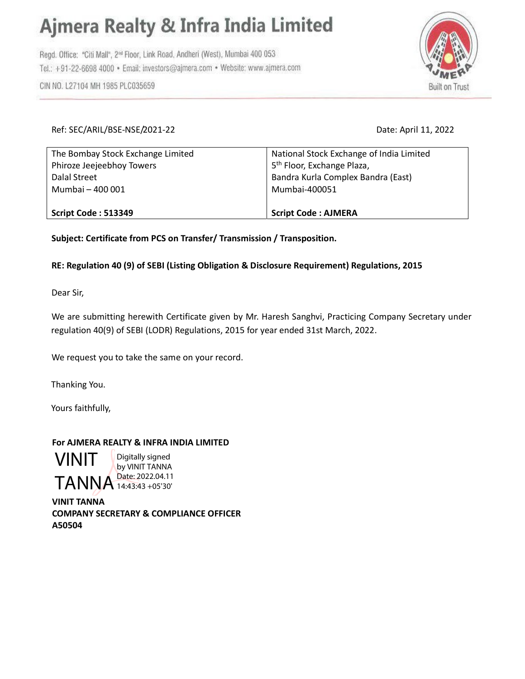# Ajmera Realty & Infra India Limited

Regd. Office: "Citi Mall", 2<sup>nd</sup> Floor, Link Road, Andheri (West), Mumbai 400 053 Tel.: +91-22-6698 4000 · Email: investors@ajmera.com · Website: www.ajmera.com

CIN NO. L27104 MH 1985 PLC035659



### Ref: SEC/ARIL/BSE-NSE/2021-22 Date: April 11, 2022

| Script Code: 513349               | <b>Script Code: AJMERA</b>                          |
|-----------------------------------|-----------------------------------------------------|
| Dalal Street<br>Mumbai - 400 001  | Bandra Kurla Complex Bandra (East)<br>Mumbai-400051 |
| Phiroze Jeejeebhoy Towers         | 5 <sup>th</sup> Floor, Exchange Plaza,              |
| The Bombay Stock Exchange Limited | National Stock Exchange of India Limited            |

Subject: Certificate from PCS on Transfer/ Transmission / Transposition.

## RE: Regulation 40 (9) of SEBI (Listing Obligation & Disclosure Requirement) Regulations, 2015

Dear Sir,

We are submitting herewith Certificate given by Mr. Haresh Sanghvi, Practicing Company Secretary under regulation 40(9) of SEBI (LODR) Regulations, 2015 for year ended 31st March, 2022.

We request you to take the same on your record.

Thanking You.

Yours faithfully,

## For AJMERA REALTY & INFRA INDIA LIMITED

VINIT TANNA<sup>Date: 2022.04.11</sup> Digitally signed by VINIT TANNA 14:43:43 +05'30'

VINIT TANNA COMPANY SECRETARY & COMPLIANCE OFFICER A50504